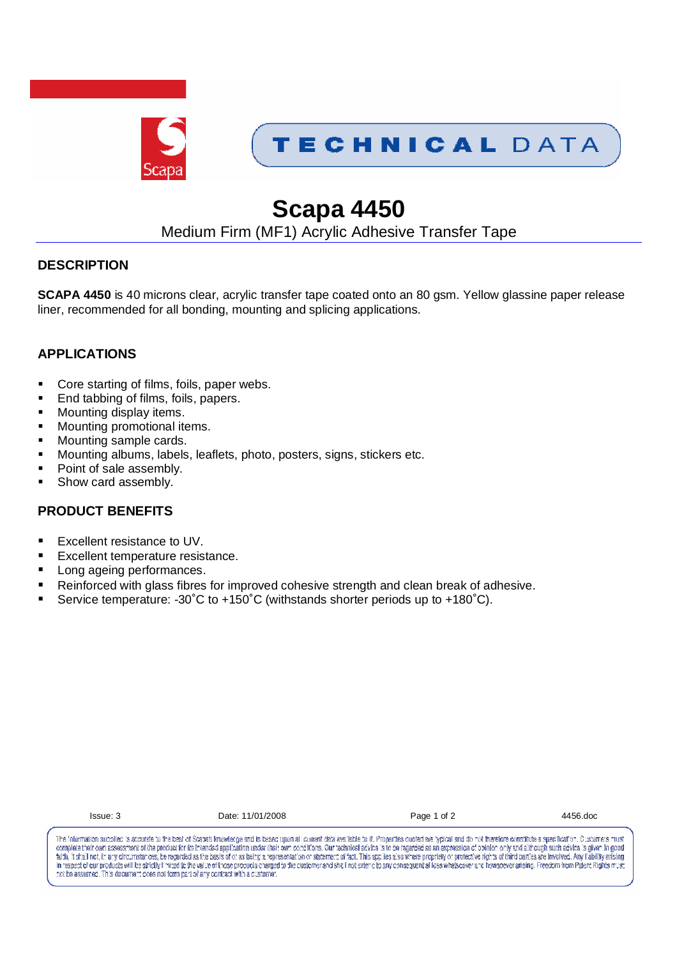

## TECHNICAL DATA

# **Scapa 4450**

### Medium Firm (MF1) Acrylic Adhesive Transfer Tape

#### **DESCRIPTION**

**SCAPA 4450** is 40 microns clear, acrylic transfer tape coated onto an 80 gsm. Yellow glassine paper release liner, recommended for all bonding, mounting and splicing applications.

### **APPLICATIONS**

- Core starting of films, foils, paper webs.
- End tabbing of films, foils, papers.
- Mounting display items.
- Mounting promotional items.
- Mounting sample cards.
- Mounting albums, labels, leaflets, photo, posters, signs, stickers etc.
- Point of sale assembly.
- Show card assembly.

#### **PRODUCT BENEFITS**

- Excellent resistance to UV.
- Excellent temperature resistance.
- Long ageing performances.
- Reinforced with glass fibres for improved cohesive strength and clean break of adhesive.
- Service temperature: -30˚C to +150˚C (withstands shorter periods up to +180˚C).

| $\overline{\phantom{a}}$ |  |
|--------------------------|--|
|                          |  |

Issue: 3 Date: 11/01/2008 Page 1 of 2 4456.doc

The information supplied is accurate to the best of Scapa's knowledge and is based upon all current data available to it. Properties quoted are typical and do not therefore constitute a specification. Customers must complete their own assessment of the product for its Intended application under their own concilions. Our technical advice is to be regarded as an expression of opinion only and although such advice is given in good termined in the second statement of the state of the statement of a statement of a statement of a statement of a statement of a statement of a statement of a statement of a statement of a statement of a statement of a stat in respect of our products will be strictly limited to the value of those products charged to the dustomer and shall not siden of our consequent all loss whatsower and intersect in mesoever arising. Presdom from Patent Rig not be assumed. This decument does not form part of any contract with a customer.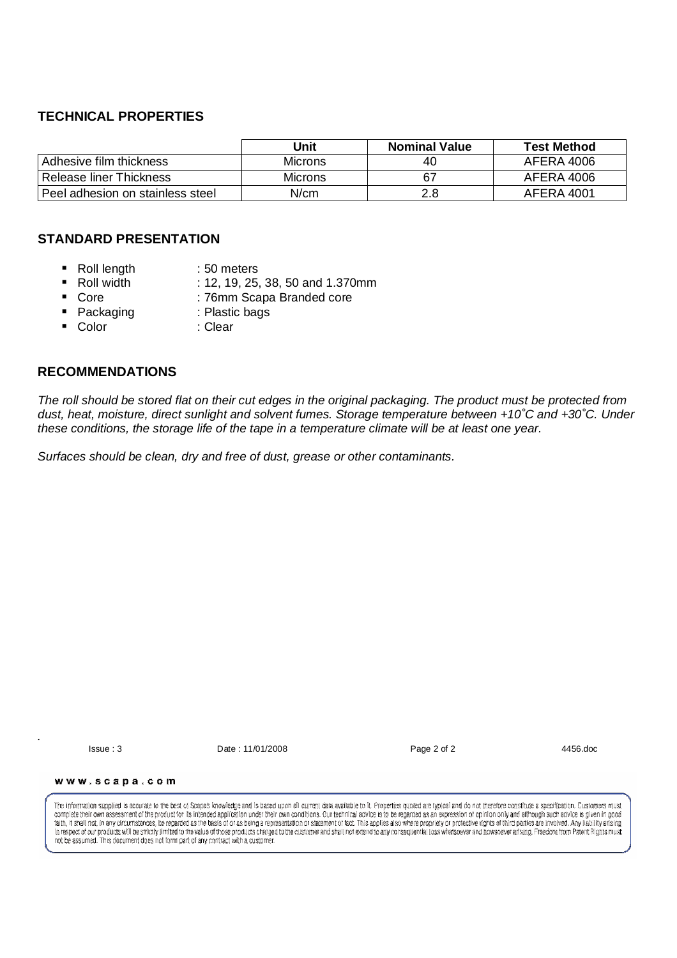#### **TECHNICAL PROPERTIES**

|                                  | Jnit           | <b>Nominal Value</b> | <b>Test Method</b> |
|----------------------------------|----------------|----------------------|--------------------|
| Adhesive film thickness          | <b>Microns</b> | 40                   | AFERA 4006         |
| Release liner Thickness          | <b>Microns</b> | 67                   | AFERA 4006         |
| Peel adhesion on stainless steel | N/cm           | 2.8                  | AFERA 4001         |

#### **STANDARD PRESENTATION**

- Roll length : 50 meters
- Roll width : 12, 19, 25, 38, 50 and 1.370mm
	- Core : 76mm Scapa Branded core
- Packaging : Plastic bags
- Color : Clear
- 

#### **RECOMMENDATIONS**

The roll should be stored flat on their cut edges in the original packaging. The product must be protected from dust, heat, moisture, direct sunlight and solvent fumes. Storage temperature between +10˚C and +30˚C. Under these conditions, the storage life of the tape in a temperature climate will be at least one year.

Surfaces should be clean, dry and free of dust, grease or other contaminants.

.

Issue : 3 Date : 11/01/2008 Page 2 of 2 4456.doc

www.scapa.com

The information supplied is accurate to the bast of Scapa's knowledge and is based upon all current data available to it. Properties pupled are typical and do not therefore constitute a specification. Customers must complete their own assessment of the product for its intended application under their own conditions. Our technical advice is to be regarded as an expression of opinion only and although such advice is given in good faith, it shall not, in any circumstances, be recarded as the basis of or as being a representation or statement of fact. This applies also where propriety or protective rights of third parties are involved. Any liability In respect of our products will be strictly limited to the value of those products charged to the customer and shall not extend to any consequential loss whatsoever and howsoever artising. Freedom from Patent Rights must in his part of the product from the entity invitable to the value of these products with a customer.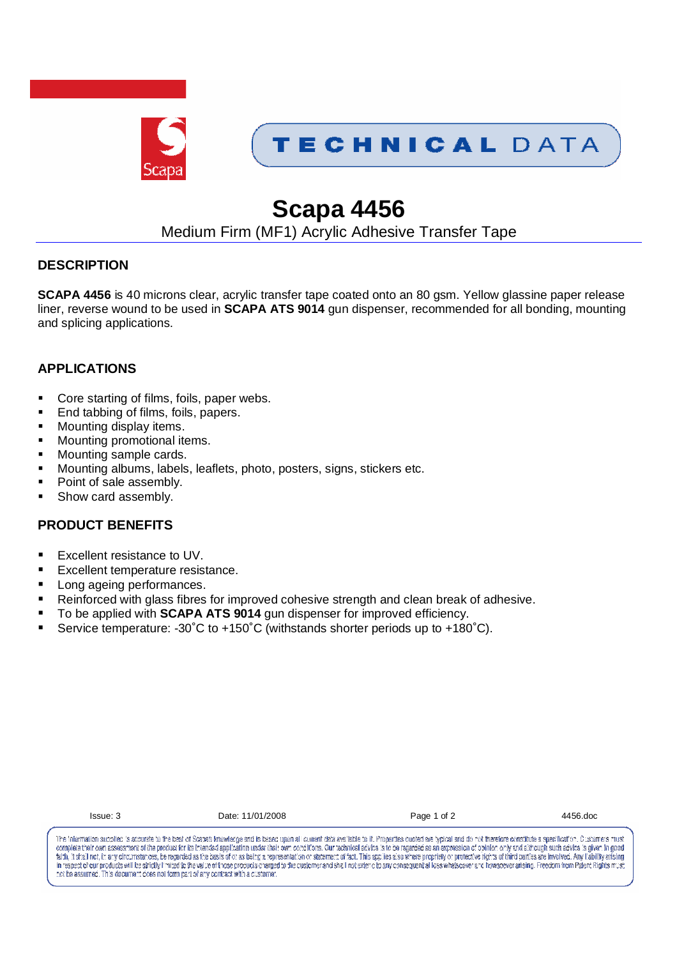

## TECHNICAL DATA

# **Scapa 4456**

### Medium Firm (MF1) Acrylic Adhesive Transfer Tape

#### **DESCRIPTION**

**SCAPA 4456** is 40 microns clear, acrylic transfer tape coated onto an 80 gsm. Yellow glassine paper release liner, reverse wound to be used in **SCAPA ATS 9014** gun dispenser, recommended for all bonding, mounting and splicing applications.

### **APPLICATIONS**

- Core starting of films, foils, paper webs.
- End tabbing of films, foils, papers.
- Mounting display items.
- Mounting promotional items.
- Mounting sample cards.
- Mounting albums, labels, leaflets, photo, posters, signs, stickers etc.
- Point of sale assembly.
- Show card assembly.

#### **PRODUCT BENEFITS**

- Excellent resistance to UV.
- Excellent temperature resistance.
- **Long ageing performances.**
- Reinforced with glass fibres for improved cohesive strength and clean break of adhesive.
- To be applied with **SCAPA ATS 9014** gun dispenser for improved efficiency.
- Service temperature: -30°C to +150°C (withstands shorter periods up to +180°C).

| ×<br>۰.<br>٠ | ٠ | ٠ |  |  |
|--------------|---|---|--|--|
|              |   |   |  |  |

Date: 11/01/2008 Page 1 of 2 4456.doc

The information supplied is accurate to the best of Scapa's knowledge and is based upon all current data available to it. Properties quoted are typical and do not therefore constitute a specification. Customers must complete their own assessment of the product for its intended application under their own conciltions. Our technical advice is to be regarded as an expression of pointon only and although such advice is given in good termined in the second statement of the state of the statement of a statement of a statement of a statement of a statement of a statement of a statement of a statement of a statement of a statement of a statement of a stat in respect of our products will be strictly limited to the value of those products charged to the dustomer and shall not siden of our consequent all loss whatsower and intersect in mesoever arising. Presdom from Patent Rig not be assumed. This decument does not form part of any contract with a customer.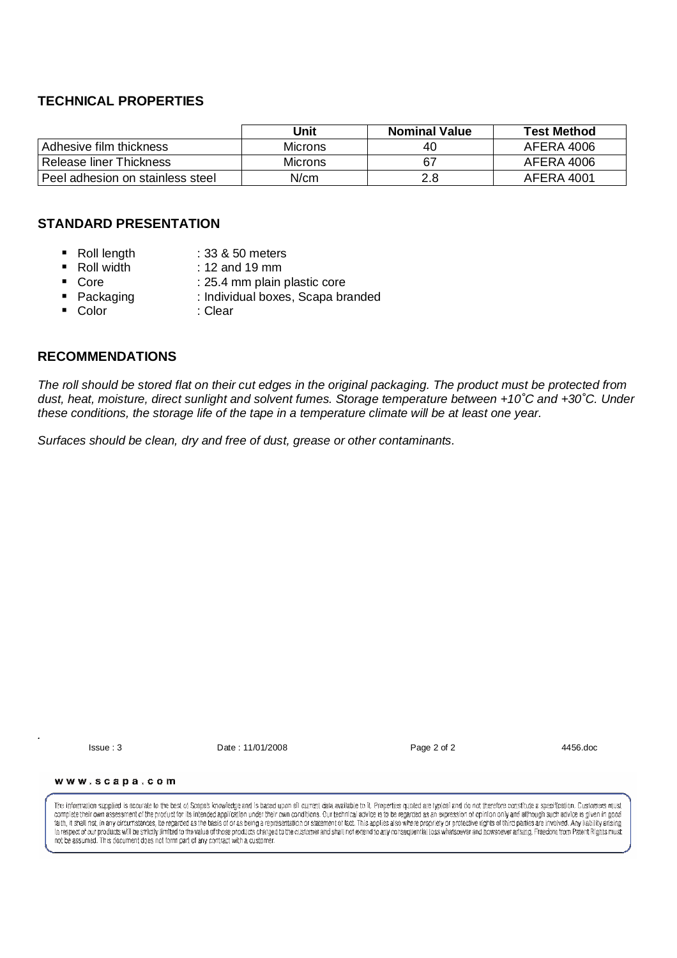#### **TECHNICAL PROPERTIES**

|                                  | Jnit           | <b>Nominal Value</b> | <b>Test Method</b> |
|----------------------------------|----------------|----------------------|--------------------|
| Adhesive film thickness          | <b>Microns</b> | 40                   | AFERA 4006         |
| <b>Release liner Thickness</b>   | <b>Microns</b> | 67                   | AFERA 4006         |
| Peel adhesion on stainless steel | N/cm           | 2.8                  | AFERA 4001         |

#### **STANDARD PRESENTATION**

- Roll length : 33 & 50 meters
- Roll width : 12 and 19 mm
	-
- Core : 25.4 mm plain plastic core ■ Packaging : Individual boxes, Scapa branded
- 
- Color : Clear
- **RECOMMENDATIONS**

The roll should be stored flat on their cut edges in the original packaging. The product must be protected from dust, heat, moisture, direct sunlight and solvent fumes. Storage temperature between +10˚C and +30˚C. Under these conditions, the storage life of the tape in a temperature climate will be at least one year.

Surfaces should be clean, dry and free of dust, grease or other contaminants.

.

Issue : 3 Date : 11/01/2008 Page 2 of 2 4456.doc

www.scapa.com

The information supplied is accurate to the best of Scepe's knowledge and is based upon all current data available to it. Properties pupled are typical and do not therefore constitute a specification. Customers must complete their own assessment of the product for its intended application under their own conditions. Our technical advice is to be regarded as an expression of opinion only and although such advice is given in good faith, it shall not, in any circumstances, be recarded as the basis of or as being a representation or statement of fact. This applies also where propriety or protective rights of third parties are involved. Any liability In respect of our products will be strictly limited to the value of those products charged to the customer and shall not extend to any consequential loss whatsoever and howsoever artising. Freedom from Patent Rights must in his part of the product from the entity invitable to the value of these products with a customer.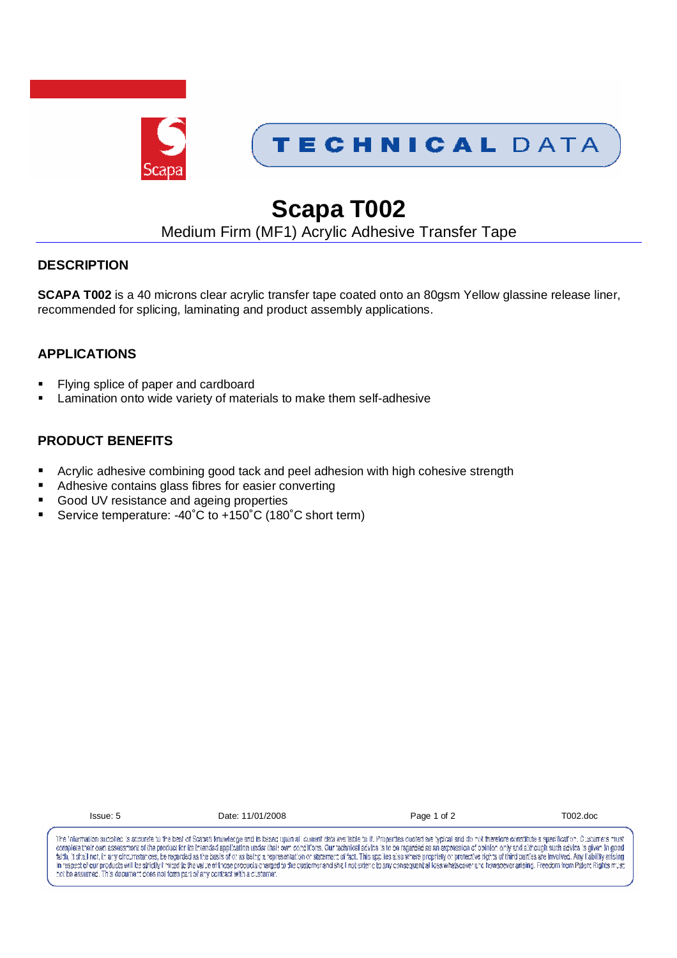



# **Scapa T002**

### Medium Firm (MF1) Acrylic Adhesive Transfer Tape

#### **DESCRIPTION**

**SCAPA T002** is a 40 microns clear acrylic transfer tape coated onto an 80gsm Yellow glassine release liner, recommended for splicing, laminating and product assembly applications.

### **APPLICATIONS**

- Flying splice of paper and cardboard
- **EXEC** Lamination onto wide variety of materials to make them self-adhesive

#### **PRODUCT BENEFITS**

- Acrylic adhesive combining good tack and peel adhesion with high cohesive strength
- Adhesive contains glass fibres for easier converting
- Good UV resistance and ageing properties
- Service temperature: -40˚C to +150˚C (180˚C short term)

| ıc<br>v.<br>۰<br>×<br>۰. |  |
|--------------------------|--|
|--------------------------|--|

Date: 11/01/2008 Page 1 of 2 T002.doc

The information supplied is accurate to the best of Scapa's knowledge and is based upon all current data available to it. Properties quoted are typical and do not therefore constitute a specification. Customers must complete their own assessment of the product for its Intended application under their own concilions. Our technical advice is to be regarded as an expression of opinion only and although such advice is given in good termined in the second statement of the state of the statement of a statement of a statement of a statement of a statement of a statement of a statement of a statement of a statement of a statement of a statement of a stat in respect of our products will be strictly limited to the value of those products charged to the dustomer and shall not siden of our consequent all loss whatsower and intersect in mesoever arising. Presdom from Patent Rig not be assumed. This decument does not form part of any contract with a customer.